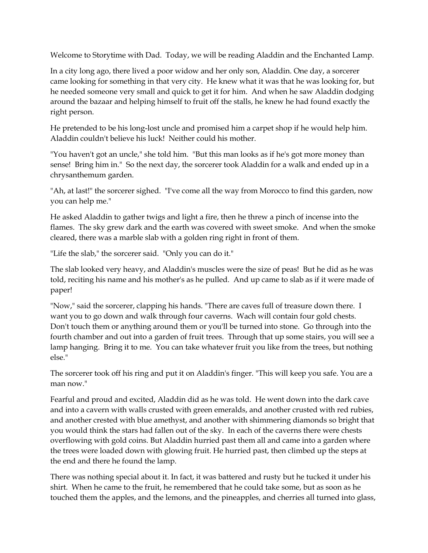Welcome to Storytime with Dad. Today, we will be reading Aladdin and the Enchanted Lamp.

In a city long ago, there lived a poor widow and her only son, Aladdin. One day, a sorcerer came looking for something in that very city. He knew what it was that he was looking for, but he needed someone very small and quick to get it for him. And when he saw Aladdin dodging around the bazaar and helping himself to fruit off the stalls, he knew he had found exactly the right person.

He pretended to be his long-lost uncle and promised him a carpet shop if he would help him. Aladdin couldn't believe his luck! Neither could his mother.

"You haven't got an uncle," she told him. "But this man looks as if he's got more money than sense! Bring him in." So the next day, the sorcerer took Aladdin for a walk and ended up in a chrysanthemum garden.

"Ah, at last!" the sorcerer sighed. "I've come all the way from Morocco to find this garden, now you can help me."

He asked Aladdin to gather twigs and light a fire, then he threw a pinch of incense into the flames. The sky grew dark and the earth was covered with sweet smoke. And when the smoke cleared, there was a marble slab with a golden ring right in front of them.

"Life the slab," the sorcerer said. "Only you can do it."

The slab looked very heavy, and Aladdin's muscles were the size of peas! But he did as he was told, reciting his name and his mother's as he pulled. And up came to slab as if it were made of paper!

"Now," said the sorcerer, clapping his hands. "There are caves full of treasure down there. I want you to go down and walk through four caverns. Wach will contain four gold chests. Don't touch them or anything around them or you'll be turned into stone. Go through into the fourth chamber and out into a garden of fruit trees. Through that up some stairs, you will see a lamp hanging. Bring it to me. You can take whatever fruit you like from the trees, but nothing else."

The sorcerer took off his ring and put it on Aladdin's finger. "This will keep you safe. You are a man now."

Fearful and proud and excited, Aladdin did as he was told. He went down into the dark cave and into a cavern with walls crusted with green emeralds, and another crusted with red rubies, and another crested with blue amethyst, and another with shimmering diamonds so bright that you would think the stars had fallen out of the sky. In each of the caverns there were chests overflowing with gold coins. But Aladdin hurried past them all and came into a garden where the trees were loaded down with glowing fruit. He hurried past, then climbed up the steps at the end and there he found the lamp.

There was nothing special about it. In fact, it was battered and rusty but he tucked it under his shirt. When he came to the fruit, he remembered that he could take some, but as soon as he touched them the apples, and the lemons, and the pineapples, and cherries all turned into glass,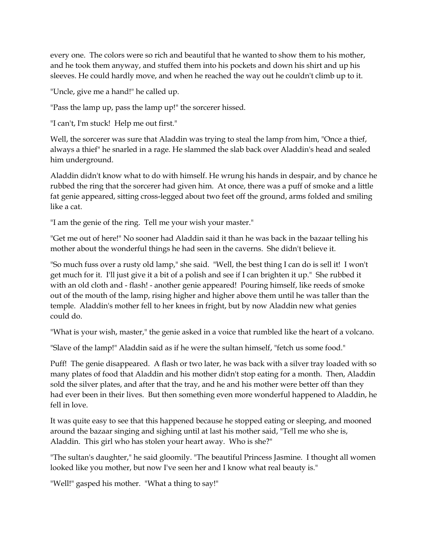every one. The colors were so rich and beautiful that he wanted to show them to his mother, and he took them anyway, and stuffed them into his pockets and down his shirt and up his sleeves. He could hardly move, and when he reached the way out he couldn't climb up to it.

"Uncle, give me a hand!" he called up.

"Pass the lamp up, pass the lamp up!" the sorcerer hissed.

"I can't, I'm stuck! Help me out first."

Well, the sorcerer was sure that Aladdin was trying to steal the lamp from him, "Once a thief, always a thief" he snarled in a rage. He slammed the slab back over Aladdin's head and sealed him underground.

Aladdin didn't know what to do with himself. He wrung his hands in despair, and by chance he rubbed the ring that the sorcerer had given him. At once, there was a puff of smoke and a little fat genie appeared, sitting cross-legged about two feet off the ground, arms folded and smiling like a cat.

"I am the genie of the ring. Tell me your wish your master."

"Get me out of here!" No sooner had Aladdin said it than he was back in the bazaar telling his mother about the wonderful things he had seen in the caverns. She didn't believe it.

"So much fuss over a rusty old lamp," she said. "Well, the best thing I can do is sell it! I won't get much for it. I'll just give it a bit of a polish and see if I can brighten it up." She rubbed it with an old cloth and - flash! - another genie appeared! Pouring himself, like reeds of smoke out of the mouth of the lamp, rising higher and higher above them until he was taller than the temple. Aladdin's mother fell to her knees in fright, but by now Aladdin new what genies could do.

"What is your wish, master," the genie asked in a voice that rumbled like the heart of a volcano.

"Slave of the lamp!" Aladdin said as if he were the sultan himself, "fetch us some food."

Puff! The genie disappeared. A flash or two later, he was back with a silver tray loaded with so many plates of food that Aladdin and his mother didn't stop eating for a month. Then, Aladdin sold the silver plates, and after that the tray, and he and his mother were better off than they had ever been in their lives. But then something even more wonderful happened to Aladdin, he fell in love.

It was quite easy to see that this happened because he stopped eating or sleeping, and mooned around the bazaar singing and sighing until at last his mother said, "Tell me who she is, Aladdin. This girl who has stolen your heart away. Who is she?"

"The sultan's daughter," he said gloomily. "The beautiful Princess Jasmine. I thought all women looked like you mother, but now I've seen her and I know what real beauty is."

"Well!" gasped his mother. "What a thing to say!"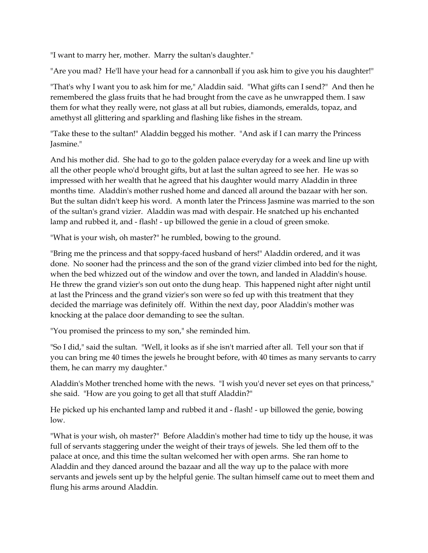"I want to marry her, mother. Marry the sultan's daughter."

"Are you mad? He'll have your head for a cannonball if you ask him to give you his daughter!"

"That's why I want you to ask him for me," Aladdin said. "What gifts can I send?" And then he remembered the glass fruits that he had brought from the cave as he unwrapped them. I saw them for what they really were, not glass at all but rubies, diamonds, emeralds, topaz, and amethyst all glittering and sparkling and flashing like fishes in the stream.

"Take these to the sultan!" Aladdin begged his mother. "And ask if I can marry the Princess Jasmine."

And his mother did. She had to go to the golden palace everyday for a week and line up with all the other people who'd brought gifts, but at last the sultan agreed to see her. He was so impressed with her wealth that he agreed that his daughter would marry Aladdin in three months time. Aladdin's mother rushed home and danced all around the bazaar with her son. But the sultan didn't keep his word. A month later the Princess Jasmine was married to the son of the sultan's grand vizier. Aladdin was mad with despair. He snatched up his enchanted lamp and rubbed it, and - flash! - up billowed the genie in a cloud of green smoke.

"What is your wish, oh master?" he rumbled, bowing to the ground.

"Bring me the princess and that soppy-faced husband of hers!" Aladdin ordered, and it was done. No sooner had the princess and the son of the grand vizier climbed into bed for the night, when the bed whizzed out of the window and over the town, and landed in Aladdin's house. He threw the grand vizier's son out onto the dung heap. This happened night after night until at last the Princess and the grand vizier's son were so fed up with this treatment that they decided the marriage was definitely off. Within the next day, poor Aladdin's mother was knocking at the palace door demanding to see the sultan.

"You promised the princess to my son," she reminded him.

"So I did," said the sultan. "Well, it looks as if she isn't married after all. Tell your son that if you can bring me 40 times the jewels he brought before, with 40 times as many servants to carry them, he can marry my daughter."

Aladdin's Mother trenched home with the news. "I wish you'd never set eyes on that princess," she said. "How are you going to get all that stuff Aladdin?"

He picked up his enchanted lamp and rubbed it and - flash! - up billowed the genie, bowing low.

"What is your wish, oh master?" Before Aladdin's mother had time to tidy up the house, it was full of servants staggering under the weight of their trays of jewels. She led them off to the palace at once, and this time the sultan welcomed her with open arms. She ran home to Aladdin and they danced around the bazaar and all the way up to the palace with more servants and jewels sent up by the helpful genie. The sultan himself came out to meet them and flung his arms around Aladdin.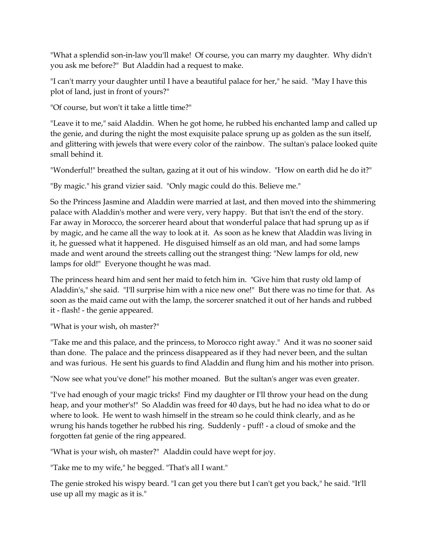"What a splendid son-in-law you'll make! Of course, you can marry my daughter. Why didn't you ask me before?" But Aladdin had a request to make.

"I can't marry your daughter until I have a beautiful palace for her," he said. "May I have this plot of land, just in front of yours?"

"Of course, but won't it take a little time?"

"Leave it to me," said Aladdin. When he got home, he rubbed his enchanted lamp and called up the genie, and during the night the most exquisite palace sprung up as golden as the sun itself, and glittering with jewels that were every color of the rainbow. The sultan's palace looked quite small behind it.

"Wonderful!" breathed the sultan, gazing at it out of his window. "How on earth did he do it?"

"By magic." his grand vizier said. "Only magic could do this. Believe me."

So the Princess Jasmine and Aladdin were married at last, and then moved into the shimmering palace with Aladdin's mother and were very, very happy. But that isn't the end of the story. Far away in Morocco, the sorcerer heard about that wonderful palace that had sprung up as if by magic, and he came all the way to look at it. As soon as he knew that Aladdin was living in it, he guessed what it happened. He disguised himself as an old man, and had some lamps made and went around the streets calling out the strangest thing: "New lamps for old, new lamps for old!" Everyone thought he was mad.

The princess heard him and sent her maid to fetch him in. "Give him that rusty old lamp of Aladdin's," she said. "I'll surprise him with a nice new one!" But there was no time for that. As soon as the maid came out with the lamp, the sorcerer snatched it out of her hands and rubbed it - flash! - the genie appeared.

"What is your wish, oh master?"

"Take me and this palace, and the princess, to Morocco right away." And it was no sooner said than done. The palace and the princess disappeared as if they had never been, and the sultan and was furious. He sent his guards to find Aladdin and flung him and his mother into prison.

"Now see what you've done!" his mother moaned. But the sultan's anger was even greater.

"I've had enough of your magic tricks! Find my daughter or I'll throw your head on the dung heap, and your mother's!" So Aladdin was freed for 40 days, but he had no idea what to do or where to look. He went to wash himself in the stream so he could think clearly, and as he wrung his hands together he rubbed his ring. Suddenly - puff! - a cloud of smoke and the forgotten fat genie of the ring appeared.

"What is your wish, oh master?" Aladdin could have wept for joy.

"Take me to my wife," he begged. "That's all I want."

The genie stroked his wispy beard. "I can get you there but I can't get you back," he said. "It'll use up all my magic as it is."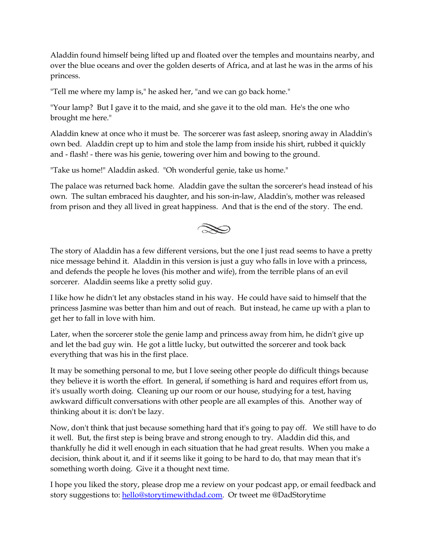Aladdin found himself being lifted up and floated over the temples and mountains nearby, and over the blue oceans and over the golden deserts of Africa, and at last he was in the arms of his princess.

"Tell me where my lamp is," he asked her, "and we can go back home."

"Your lamp? But I gave it to the maid, and she gave it to the old man. He's the one who brought me here."

Aladdin knew at once who it must be. The sorcerer was fast asleep, snoring away in Aladdin's own bed. Aladdin crept up to him and stole the lamp from inside his shirt, rubbed it quickly and - flash! - there was his genie, towering over him and bowing to the ground.

"Take us home!" Aladdin asked. "Oh wonderful genie, take us home."

The palace was returned back home. Aladdin gave the sultan the sorcerer's head instead of his own. The sultan embraced his daughter, and his son-in-law, Aladdin's, mother was released from prison and they all lived in great happiness. And that is the end of the story. The end.



The story of Aladdin has a few different versions, but the one I just read seems to have a pretty nice message behind it. Aladdin in this version is just a guy who falls in love with a princess, and defends the people he loves (his mother and wife), from the terrible plans of an evil sorcerer. Aladdin seems like a pretty solid guy.

I like how he didn't let any obstacles stand in his way. He could have said to himself that the princess Jasmine was better than him and out of reach. But instead, he came up with a plan to get her to fall in love with him.

Later, when the sorcerer stole the genie lamp and princess away from him, he didn't give up and let the bad guy win. He got a little lucky, but outwitted the sorcerer and took back everything that was his in the first place.

It may be something personal to me, but I love seeing other people do difficult things because they believe it is worth the effort. In general, if something is hard and requires effort from us, it's usually worth doing. Cleaning up our room or our house, studying for a test, having awkward difficult conversations with other people are all examples of this. Another way of thinking about it is: don't be lazy.

Now, don't think that just because something hard that it's going to pay off. We still have to do it well. But, the first step is being brave and strong enough to try. Aladdin did this, and thankfully he did it well enough in each situation that he had great results. When you make a decision, think about it, and if it seems like it going to be hard to do, that may mean that it's something worth doing. Give it a thought next time.

I hope you liked the story, please drop me a review on your podcast app, or email feedback and story suggestions to[: hello@storytimewithdad.com.](mailto:hello@storytimewithdad.com) Or tweet me @DadStorytime